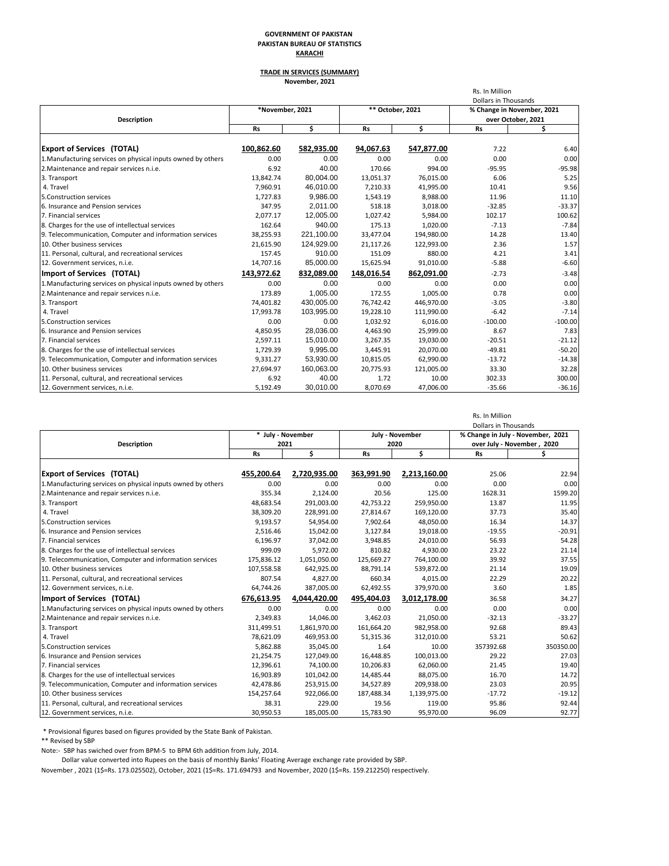#### **GOVERNMENT OF PAKISTAN PAKISTAN BUREAU OF STATISTICS KARACHI**

### **TRADE IN SERVICES (SUMMARY) November, 2021**

|                                                              |                 |            |                  |            | Rs. In Million<br><b>Dollars in Thousands</b> |                            |
|--------------------------------------------------------------|-----------------|------------|------------------|------------|-----------------------------------------------|----------------------------|
|                                                              | *November, 2021 |            | ** October, 2021 |            |                                               | % Change in November, 2021 |
| <b>Description</b>                                           |                 |            |                  |            |                                               | over October, 2021         |
|                                                              | <b>Rs</b>       | \$         | <b>Rs</b>        | \$         | <b>Rs</b>                                     | \$                         |
| <b>Export of Services (TOTAL)</b>                            | 100,862.60      | 582,935.00 | 94,067.63        | 547,877.00 | 7.22                                          | 6.40                       |
| 1. Manufacturing services on physical inputs owned by others | 0.00            | 0.00       | 0.00             | 0.00       | 0.00                                          | 0.00                       |
| 2. Maintenance and repair services n.i.e.                    | 6.92            | 40.00      | 170.66           | 994.00     | $-95.95$                                      | $-95.98$                   |
| 3. Transport                                                 | 13,842.74       | 80.004.00  | 13,051.37        | 76,015.00  | 6.06                                          | 5.25                       |
| 4. Travel                                                    | 7,960.91        | 46,010.00  | 7,210.33         | 41,995.00  | 10.41                                         | 9.56                       |
| 5. Construction services                                     | 1,727.83        | 9,986.00   | 1,543.19         | 8,988.00   | 11.96                                         | 11.10                      |
| 6. Insurance and Pension services                            | 347.95          | 2.011.00   | 518.18           | 3.018.00   | $-32.85$                                      | $-33.37$                   |
| 7. Financial services                                        | 2,077.17        | 12,005.00  | 1,027.42         | 5,984.00   | 102.17                                        | 100.62                     |
| 8. Charges for the use of intellectual services              | 162.64          | 940.00     | 175.13           | 1,020.00   | $-7.13$                                       | $-7.84$                    |
| 9. Telecommunication, Computer and information services      | 38,255.93       | 221,100.00 | 33,477.04        | 194,980.00 | 14.28                                         | 13.40                      |
| 10. Other business services                                  | 21,615.90       | 124,929.00 | 21,117.26        | 122,993.00 | 2.36                                          | 1.57                       |
| 11. Personal, cultural, and recreational services            | 157.45          | 910.00     | 151.09           | 880.00     | 4.21                                          | 3.41                       |
| 12. Government services, n.i.e.                              | 14,707.16       | 85,000.00  | 15,625.94        | 91,010.00  | $-5.88$                                       | $-6.60$                    |
| Import of Services (TOTAL)                                   | 143,972.62      | 832.089.00 | 148,016.54       | 862,091.00 | $-2.73$                                       | $-3.48$                    |
| 1. Manufacturing services on physical inputs owned by others | 0.00            | 0.00       | 0.00             | 0.00       | 0.00                                          | 0.00                       |
| 2. Maintenance and repair services n.i.e.                    | 173.89          | 1.005.00   | 172.55           | 1,005.00   | 0.78                                          | 0.00                       |
| 3. Transport                                                 | 74,401.82       | 430,005.00 | 76,742.42        | 446,970.00 | $-3.05$                                       | $-3.80$                    |
| 4. Travel                                                    | 17,993.78       | 103,995.00 | 19,228.10        | 111,990.00 | $-6.42$                                       | $-7.14$                    |
| 5. Construction services                                     | 0.00            | 0.00       | 1,032.92         | 6,016.00   | $-100.00$                                     | $-100.00$                  |
| 6. Insurance and Pension services                            | 4,850.95        | 28,036.00  | 4,463.90         | 25,999.00  | 8.67                                          | 7.83                       |
| 7. Financial services                                        | 2,597.11        | 15,010.00  | 3,267.35         | 19,030.00  | $-20.51$                                      | $-21.12$                   |
| 8. Charges for the use of intellectual services              | 1,729.39        | 9,995.00   | 3,445.91         | 20,070.00  | $-49.81$                                      | $-50.20$                   |
| 9. Telecommunication, Computer and information services      | 9,331.27        | 53,930.00  | 10,815.05        | 62,990.00  | $-13.72$                                      | $-14.38$                   |
| 10. Other business services                                  | 27,694.97       | 160,063.00 | 20,775.93        | 121,005.00 | 33.30                                         | 32.28                      |
| 11. Personal, cultural, and recreational services            | 6.92            | 40.00      | 1.72             | 10.00      | 302.33                                        | 300.00                     |
| 12. Government services, n.i.e.                              | 5,192.49        | 30,010.00  | 8,070.69         | 47,006.00  | $-35.66$                                      | $-36.16$                   |

|                                                              |                   |              |            |                 | Rs. In Million<br>Dollars in Thousands |                                   |  |
|--------------------------------------------------------------|-------------------|--------------|------------|-----------------|----------------------------------------|-----------------------------------|--|
|                                                              | * July - November |              |            | July - November |                                        | % Change in July - November, 2021 |  |
| <b>Description</b>                                           | 2021              |              | 2020       |                 | over July - November, 2020             |                                   |  |
|                                                              | <b>Rs</b>         | \$           | <b>Rs</b>  | \$              | <b>Rs</b>                              | \$.                               |  |
| <b>Export of Services (TOTAL)</b>                            | 455,200.64        | 2,720,935.00 | 363,991.90 | 2,213,160.00    | 25.06                                  | 22.94                             |  |
| 1. Manufacturing services on physical inputs owned by others | 0.00              | 0.00         | 0.00       | 0.00            | 0.00                                   | 0.00                              |  |
| 2. Maintenance and repair services n.i.e.                    | 355.34            | 2,124.00     | 20.56      | 125.00          | 1628.31                                | 1599.20                           |  |
| 3. Transport                                                 | 48,683.54         | 291,003.00   | 42,753.22  | 259,950.00      | 13.87                                  | 11.95                             |  |
| 4. Travel                                                    | 38,309.20         | 228,991.00   | 27,814.67  | 169,120.00      | 37.73                                  | 35.40                             |  |
| 5. Construction services                                     | 9.193.57          | 54,954.00    | 7.902.64   | 48.050.00       | 16.34                                  | 14.37                             |  |
| 6. Insurance and Pension services                            | 2,516.46          | 15,042.00    | 3,127.84   | 19,018.00       | $-19.55$                               | $-20.91$                          |  |
| 7. Financial services                                        | 6,196.97          | 37,042.00    | 3,948.85   | 24,010.00       | 56.93                                  | 54.28                             |  |
| 8. Charges for the use of intellectual services              | 999.09            | 5,972.00     | 810.82     | 4,930.00        | 23.22                                  | 21.14                             |  |
| 9. Telecommunication, Computer and information services      | 175,836.12        | 1,051,050.00 | 125,669.27 | 764,100.00      | 39.92                                  | 37.55                             |  |
| 10. Other business services                                  | 107,558.58        | 642,925.00   | 88,791.14  | 539,872.00      | 21.14                                  | 19.09                             |  |
| 11. Personal, cultural, and recreational services            | 807.54            | 4,827.00     | 660.34     | 4,015.00        | 22.29                                  | 20.22                             |  |
| 12. Government services, n.i.e.                              | 64,744.26         | 387,005.00   | 62,492.55  | 379,970.00      | 3.60                                   | 1.85                              |  |
| Import of Services (TOTAL)                                   | 676,613.95        | 4,044,420.00 | 495,404.03 | 3,012,178.00    | 36.58                                  | 34.27                             |  |
| 1. Manufacturing services on physical inputs owned by others | 0.00              | 0.00         | 0.00       | 0.00            | 0.00                                   | 0.00                              |  |
| 2. Maintenance and repair services n.i.e.                    | 2,349.83          | 14,046.00    | 3,462.03   | 21,050.00       | $-32.13$                               | $-33.27$                          |  |
| 3. Transport                                                 | 311,499.51        | 1,861,970.00 | 161,664.20 | 982.958.00      | 92.68                                  | 89.43                             |  |
| 4. Travel                                                    | 78,621.09         | 469,953.00   | 51.315.36  | 312,010.00      | 53.21                                  | 50.62                             |  |
| 5.Construction services                                      | 5,862.88          | 35,045.00    | 1.64       | 10.00           | 357392.68                              | 350350.00                         |  |
| 6. Insurance and Pension services                            | 21,254.75         | 127,049.00   | 16,448.85  | 100,013.00      | 29.22                                  | 27.03                             |  |
| 7. Financial services                                        | 12,396.61         | 74,100.00    | 10,206.83  | 62,060.00       | 21.45                                  | 19.40                             |  |
| 8. Charges for the use of intellectual services              | 16,903.89         | 101,042.00   | 14,485.44  | 88,075.00       | 16.70                                  | 14.72                             |  |
| 9. Telecommunication, Computer and information services      | 42,478.86         | 253,915.00   | 34,527.89  | 209,938.00      | 23.03                                  | 20.95                             |  |
| 10. Other business services                                  | 154,257.64        | 922,066.00   | 187,488.34 | 1,139,975.00    | $-17.72$                               | $-19.12$                          |  |
| 11. Personal, cultural, and recreational services            | 38.31             | 229.00       | 19.56      | 119.00          | 95.86                                  | 92.44                             |  |
| 12. Government services, n.i.e.                              | 30,950.53         | 185,005.00   | 15,783.90  | 95,970.00       | 96.09                                  | 92.77                             |  |

\* Provisional figures based on figures provided by the State Bank of Pakistan.

\*\* Revised by SBP

Note:- SBP has swiched over from BPM-5 to BPM 6th addition from July, 2014.

Dollar value converted into Rupees on the basis of monthly Banks' Floating Average exchange rate provided by SBP.

November , 2021 (1\$=Rs. 173.025502), October, 2021 (1\$=Rs. 171.694793 and November, 2020 (1\$=Rs. 159.212250) respectively.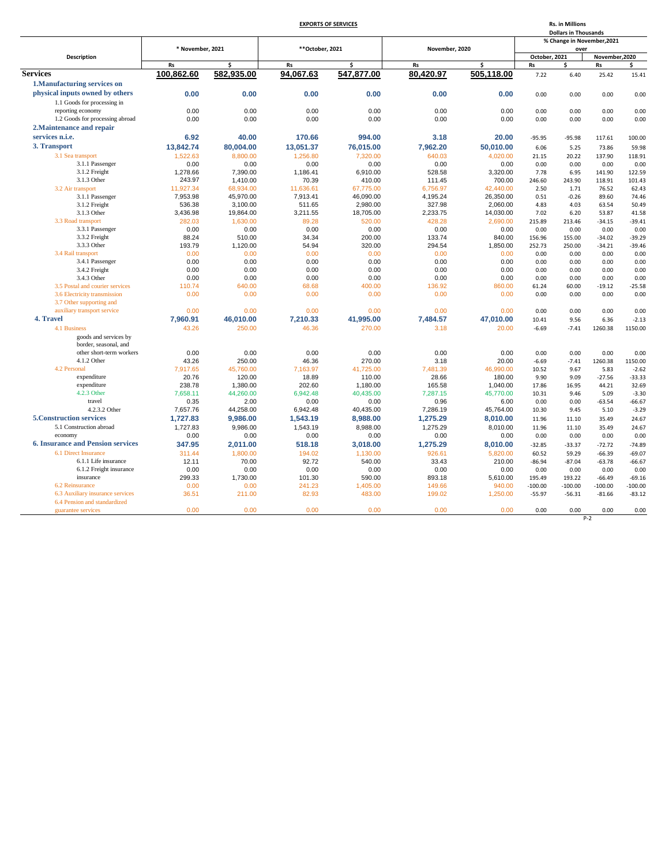|  | <b>EXPORTS OF SERVICES</b> |  |
|--|----------------------------|--|
|  |                            |  |

|                                          | <b>EXPORTS OF SERVICES</b> |            |                  |                         |                | <b>Rs. in Millions</b><br><b>Dollars in Thousands</b> |               |                            |                |           |
|------------------------------------------|----------------------------|------------|------------------|-------------------------|----------------|-------------------------------------------------------|---------------|----------------------------|----------------|-----------|
|                                          |                            |            |                  |                         |                |                                                       |               | % Change in November, 2021 |                |           |
|                                          | * November, 2021           |            | ** October, 2021 |                         | November, 2020 |                                                       |               | over                       |                |           |
| <b>Description</b>                       |                            |            |                  |                         |                |                                                       | October, 2021 |                            | November, 2020 |           |
|                                          | <b>Rs</b>                  | Ś          | <b>Rs</b>        | $\overline{\mathsf{s}}$ | <b>Rs</b>      | ś                                                     | <b>Rs</b>     | ¢.                         | Rs             | ς.        |
| <b>Services</b>                          | 100,862.60                 | 582,935.00 | 94,067.63        | 547,877.00              | 80,420.97      | 505,118.00                                            | 7.22          | 6.40                       | 25.42          | 15.41     |
| 1. Manufacturing services on             |                            |            |                  |                         |                |                                                       |               |                            |                |           |
| physical inputs owned by others          |                            |            |                  |                         | 0.00           |                                                       |               |                            |                |           |
|                                          | 0.00                       | 0.00       | 0.00             | 0.00                    |                | 0.00                                                  | 0.00          | 0.00                       | 0.00           | 0.00      |
| 1.1 Goods for processing in              |                            |            |                  |                         |                |                                                       |               |                            |                |           |
| reporting economy                        | 0.00                       | 0.00       | 0.00             | 0.00                    | 0.00           | 0.00                                                  | 0.00          | 0.00                       | 0.00           | 0.00      |
| 1.2 Goods for processing abroad          | 0.00                       | 0.00       | 0.00             | 0.00                    | 0.00           | 0.00                                                  | 0.00          | 0.00                       | 0.00           | 0.00      |
| 2. Maintenance and repair                |                            |            |                  |                         |                |                                                       |               |                            |                |           |
| services n.i.e.                          | 6.92                       | 40.00      | 170.66           | 994.00                  | 3.18           | 20.00                                                 | $-95.95$      | $-95.98$                   | 117.61         | 100.00    |
| 3. Transport                             | 13,842.74                  | 80,004.00  | 13,051.37        | 76,015.00               | 7,962.20       | 50,010.00                                             | 6.06          | 5.25                       | 73.86          | 59.98     |
| 3.1 Sea transport                        | 1,522.63                   | 8,800.00   | 1,256.80         | 7,320.00                | 640.03         | 4,020.00                                              | 21.15         | 20.22                      | 137.90         | 118.91    |
| 3.1.1 Passenger                          | 0.00                       | 0.00       | 0.00             | 0.00                    | 0.00           | 0.00                                                  | 0.00          | 0.00                       | 0.00           | 0.00      |
| 3.1.2 Freight                            | 1,278.66                   | 7,390.00   | 1,186.41         | 6,910.00                | 528.58         | 3,320.00                                              | 7.78          | 6.95                       | 141.90         | 122.59    |
| 3.1.3 Other                              | 243.97                     | 1,410.00   | 70.39            | 410.00                  | 111.45         | 700.00                                                | 246.60        | 243.90                     | 118.91         | 101.43    |
| 3.2 Air transport                        | 11,927.34                  | 68,934.00  | 11,636.61        | 67,775.00               | 6,756.97       | 42,440.00                                             | 2.50          | 1.71                       | 76.52          | 62.43     |
| 3.1.1 Passenger                          | 7,953.98                   | 45,970.00  | 7,913.41         | 46,090.00               | 4,195.24       | 26,350.00                                             | 0.51          | $-0.26$                    | 89.60          | 74.46     |
| 3.1.2 Freight                            | 536.38                     | 3,100.00   | 511.65           | 2,980.00                | 327.98         | 2,060.00                                              | 4.83          | 4.03                       | 63.54          | 50.49     |
| 3.1.3 Other                              | 3,436.98                   | 19,864.00  | 3,211.55         | 18,705.00               | 2,233.75       | 14,030.00                                             | 7.02          | 6.20                       | 53.87          | 41.58     |
| 3.3 Road transport                       | 282.03                     | 1,630.00   | 89.28            | 520.00                  | 428.28         | 2,690.00                                              | 215.89        | 213.46                     | $-34.15$       | $-39.41$  |
| 3.3.1 Passenger                          | 0.00                       | 0.00       | 0.00             | 0.00                    | 0.00           | 0.00                                                  | 0.00          | 0.00                       | 0.00           | 0.00      |
| 3.3.2 Freight                            | 88.24                      | 510.00     | 34.34            | 200.00                  | 133.74         | 840.00                                                | 156.96        | 155.00                     | $-34.02$       | $-39.29$  |
| 3.3.3 Other                              | 193.79                     | 1,120.00   | 54.94            | 320.00                  | 294.54         | 1,850.00                                              | 252.73        | 250.00                     | $-34.21$       | $-39.46$  |
| 3.4 Rail transport                       | 0.00                       | 0.00       | 0.00             | 0.00                    | 0.00           | 0.00                                                  | 0.00          | 0.00                       | 0.00           | 0.00      |
| 3.4.1 Passenger                          | 0.00                       | 0.00       | 0.00             | 0.00                    | 0.00           | 0.00                                                  | 0.00          | 0.00                       | 0.00           | 0.00      |
| 3.4.2 Freight                            | 0.00                       | 0.00       | 0.00             | 0.00                    | 0.00           | 0.00                                                  | 0.00          | 0.00                       | 0.00           | 0.00      |
| 3.4.3 Other                              | 0.00                       | 0.00       | 0.00             | 0.00                    | 0.00           | 0.00                                                  | 0.00          | 0.00                       | 0.00           | 0.00      |
| 3.5 Postal and courier services          | 110.74                     | 640.00     | 68.68            | 400.00                  | 136.92         | 860.00                                                | 61.24         | 60.00                      | $-19.12$       | $-25.58$  |
| 3.6 Electricity transmission             | 0.00                       | 0.00       | 0.00             | 0.00                    | 0.00           | 0.00                                                  | 0.00          | 0.00                       | 0.00           | 0.00      |
| 3.7 Other supporting and                 |                            |            |                  |                         |                |                                                       |               |                            |                |           |
| auxiliary transport service              | 0.00                       | 0.00       | 0.00             | 0.00                    | 0.00           | 0.00                                                  | 0.00          | 0.00                       | 0.00           | 0.00      |
| 4. Travel                                |                            |            |                  |                         |                |                                                       |               |                            |                |           |
|                                          | 7,960.91                   | 46,010.00  | 7,210.33         | 41,995.00               | 7,484.57       | 47,010.00                                             | 10.41         | 9.56                       | 6.36           | $-2.13$   |
| 4.1 Business                             | 43.26                      | 250.00     | 46.36            | 270.00                  | 3.18           | 20.00                                                 | $-6.69$       | $-7.41$                    | 1260.38        | 1150.00   |
| goods and services by                    |                            |            |                  |                         |                |                                                       |               |                            |                |           |
| border, seasonal, and                    |                            |            |                  |                         |                |                                                       |               |                            |                |           |
| other short-term workers                 | 0.00                       | 0.00       | 0.00             | 0.00                    | 0.00           | 0.00                                                  | 0.00          | 0.00                       | 0.00           | 0.00      |
| 4.1.2 Other                              | 43.26                      | 250.00     | 46.36            | 270.00                  | 3.18           | 20.00                                                 | $-6.69$       | $-7.41$                    | 1260.38        | 1150.00   |
| 4.2 Personal                             | 7,917.65                   | 45,760.00  | 7,163.97         | 41,725.00               | 7,481.39       | 46,990.00                                             | 10.52         | 9.67                       | 5.83           | $-2.62$   |
| expenditure                              | 20.76                      | 120.00     | 18.89            | 110.00                  | 28.66          | 180.00                                                | 9.90          | 9.09                       | $-27.56$       | $-33.33$  |
| expenditure                              | 238.78                     | 1,380.00   | 202.60           | 1,180.00                | 165.58         | 1,040.00                                              | 17.86         | 16.95                      | 44.21          | 32.69     |
| 4.2.3 Other                              | 7,658.11                   | 44,260.00  | 6,942.48         | 40,435.00               | 7,287.15       | 45,770.00                                             | 10.31         | 9.46                       | 5.09           | $-3.30$   |
| travel                                   | 0.35                       | 2.00       | 0.00             | 0.00                    | 0.96           | 6.00                                                  | 0.00          | 0.00                       | $-63.54$       | $-66.67$  |
| 4.2.3.2 Other                            | 7,657.76                   | 44,258.00  | 6,942.48         | 40,435.00               | 7,286.19       | 45,764.00                                             | 10.30         | 9.45                       | 5.10           | $-3.29$   |
| <b>5. Construction services</b>          | 1,727.83                   | 9.986.00   | 1,543.19         | 8.988.00                | 1,275.29       | 8.010.00                                              | 11.96         | 11.10                      | 35.49          | 24.67     |
| 5.1 Construction abroad                  | 1,727.83                   | 9,986.00   | 1,543.19         | 8,988.00                | 1,275.29       | 8,010.00                                              | 11.96         | 11.10                      | 35.49          | 24.67     |
| economy                                  | 0.00                       | 0.00       | 0.00             | 0.00                    | 0.00           | 0.00                                                  | 0.00          | 0.00                       | 0.00           | 0.00      |
| <b>6. Insurance and Pension services</b> | 347.95                     | 2,011.00   | 518.18           | 3,018.00                | 1,275.29       | 8,010.00                                              | $-32.85$      | $-33.37$                   | $-72.72$       | $-74.89$  |
| 6.1 Direct Insurance                     | 311.44                     | 1,800.00   | 194.02           | 1,130.00                | 926.61         | 5,820.00                                              | 60.52         | 59.29                      | $-66.39$       | $-69.07$  |
| 6.1.1 Life insurance                     | 12.11                      | 70.00      | 92.72            | 540.00                  | 33.43          | 210.00                                                | $-86.94$      | $-87.04$                   | $-63.78$       | $-66.67$  |
| 6.1.2 Freight insurance                  | 0.00                       | 0.00       | 0.00             | 0.00                    | 0.00           | 0.00                                                  | 0.00          | 0.00                       | 0.00           | 0.00      |
| insurance                                | 299.33                     | 1,730.00   | 101.30           | 590.00                  | 893.18         | 5,610.00                                              | 195.49        | 193.22                     | $-66.49$       | $-69.16$  |
| 6.2 Reinsurance                          | 0.00                       | 0.00       | 241.23           | 1,405.00                | 149.66         | 940.00                                                | $-100.00$     | $-100.00$                  | $-100.00$      | $-100.00$ |
| 6.3 Auxiliary insurance services         | 36.51                      | 211.00     | 82.93            | 483.00                  | 199.02         | 1.250.00                                              | $-55.97$      | $-56.31$                   | $-81.66$       | $-83.12$  |
| 6.4 Pension and standardized             |                            |            |                  |                         |                |                                                       |               |                            |                |           |
| guarantee services                       | 0.00                       | 0.00       | 0.00             | 0.00                    | 0.00           | 0.00                                                  | 0.00          | 0.00                       | 0.00           | 0.00      |
|                                          |                            |            |                  |                         |                |                                                       |               |                            | $P-2$          |           |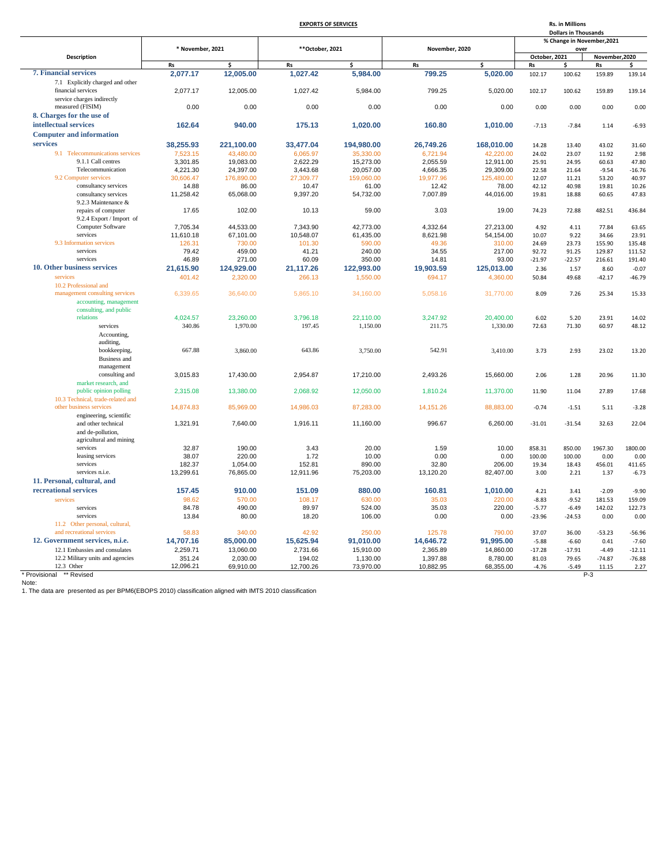## **EXPORTS OF SERVICES**

**Rs. in Millions**

|                                                                   |                    |                       |                    |                       |                      |                       |                   | <b>Dollars in Thousands</b> |                            |                      |
|-------------------------------------------------------------------|--------------------|-----------------------|--------------------|-----------------------|----------------------|-----------------------|-------------------|-----------------------------|----------------------------|----------------------|
|                                                                   |                    |                       |                    |                       |                      |                       |                   |                             | % Change in November, 2021 |                      |
|                                                                   | * November, 2021   |                       | ** October, 2021   |                       | November, 2020       |                       |                   | over                        |                            |                      |
| <b>Description</b>                                                |                    |                       |                    |                       |                      |                       | October. 2021     |                             | November, 2020             |                      |
|                                                                   | <b>Rs</b>          | Ś                     | Rs                 | Ś                     | <b>Rs</b>            | Ś                     | Rs                | \$.                         | Rs                         | \$                   |
| <b>7. Financial services</b>                                      | 2,077.17           | 12,005.00             | 1,027.42           | 5,984.00              | 799.25               | 5,020.00              | 102.17            | 100.62                      | 159.89                     | 139.14               |
| 7.1 Explicitly charged and other                                  |                    |                       |                    |                       |                      |                       |                   |                             |                            |                      |
| financial services                                                | 2.077.17           | 12,005.00             | 1.027.42           | 5,984.00              | 799.25               | 5,020.00              | 102.17            | 100.62                      | 159.89                     | 139.14               |
| service charges indirectly                                        |                    |                       |                    |                       |                      |                       |                   |                             |                            |                      |
| measured (FISIM)                                                  | 0.00               | 0.00                  | 0.00               | 0.00                  | 0.00                 | 0.00                  | 0.00              | 0.00                        | 0.00                       | 0.00                 |
| 8. Charges for the use of                                         |                    |                       |                    |                       |                      |                       |                   |                             |                            |                      |
| intellectual services                                             | 162.64             | 940.00                | 175.13             | 1,020.00              | 160.80               | 1.010.00              | $-7.13$           | $-7.84$                     | 1.14                       | $-6.93$              |
| <b>Computer and information</b>                                   |                    |                       |                    |                       |                      |                       |                   |                             |                            |                      |
| services                                                          | 38,255.93          | 221,100.00            | 33,477.04          | 194,980.00            | 26,749.26            | 168,010.00            | 14.28             | 13.40                       | 43.02                      | 31.60                |
| 9.1 Telecommunications services                                   | 7,523.15           | 43,480.00             | 6,065.97           | 35,330.00             | 6,721.94             | 42,220.00             | 24.02             | 23.07                       | 11.92                      | 2.98                 |
| 9.1.1 Call centres                                                | 3,301.85           | 19,083.00             | 2,622.29           | 15,273.00             | 2,055.59             | 12,911.00             | 25.91             | 24.95                       | 60.63                      | 47.80                |
| Telecommunication                                                 | 4,221.30           | 24,397.00             | 3,443.68           | 20,057.00             | 4,666.35             | 29,309.00             | 22.58             | 21.64                       | $-9.54$                    | $-16.76$             |
| 9.2 Computer services                                             | 30,606.47          | 176,890.00            | 27,309.77          | 159,060.00            | 19,977.96            | 125,480.00            | 12.07             | 11.21                       | 53.20                      | 40.97                |
|                                                                   |                    |                       |                    |                       |                      |                       |                   |                             |                            |                      |
| consultancy services<br>consultancy services                      | 14.88<br>11,258.42 | 86.00<br>65,068.00    | 10.47<br>9,397.20  | 61.00<br>54,732.00    | 12.42<br>7,007.89    | 78.00<br>44,016.00    | 42.12<br>19.81    | 40.98<br>18.88              | 19.81<br>60.65             | 10.26<br>47.83       |
| 9.2.3 Maintenance &                                               |                    |                       |                    |                       |                      |                       |                   |                             |                            |                      |
| repairs of computer                                               | 17.65              | 102.00                | 10.13              | 59.00                 | 3.03                 | 19.00                 | 74.23             | 72.88                       | 482.51                     | 436.84               |
|                                                                   |                    |                       |                    |                       |                      |                       |                   |                             |                            |                      |
| 9.2.4 Export / Import of<br>Computer Software                     | 7,705.34           | 44,533.00             | 7,343.90           | 42,773.00             |                      | 27,213.00             | 4.92              | 4.11                        | 77.84                      | 63.65                |
| services                                                          |                    |                       |                    |                       | 4,332.64             |                       |                   |                             |                            |                      |
| 9.3 Information services                                          | 11,610.18          | 67,101.00             | 10,548.07          | 61,435.00             | 8,621.98             | 54,154.00<br>310.00   | 10.07             | 9.22                        | 34.66                      | 23.91<br>135.48      |
| services                                                          | 126.31             | 730.00                | 101.30             | 590.00                | 49.36                |                       | 24.69             | 23.73                       | 155.90                     |                      |
| services                                                          | 79.42<br>46.89     | 459.00<br>271.00      | 41.21<br>60.09     | 240.00<br>350.00      | 34.55<br>14.81       | 217.00<br>93.00       | 92.72<br>$-21.97$ | 91.25<br>$-22.57$           | 129.87<br>216.61           | 111.52<br>191.40     |
|                                                                   |                    |                       |                    |                       |                      |                       |                   |                             |                            |                      |
| 10. Other business services                                       | 21,615.90          | 124,929.00            | 21,117.26          | 122,993.00            | 19,903.59            | 125,013.00            | 2.36              | 1.57                        | 8.60                       | $-0.07$              |
| services                                                          | 401.42             | 2,320.00              | 266.13             | 1,550.00              | 694.17               | 4,360.00              | 50.84             | 49.68                       | $-42.17$                   | $-46.79$             |
| 10.2 Professional and                                             |                    |                       |                    |                       |                      |                       |                   |                             |                            |                      |
| management consulting services                                    | 6,339.65           | 36,640.00             | 5,865.10           | 34,160.00             | 5,058.16             | 31,770.00             | 8.09              | 7.26                        | 25.34                      | 15.33                |
| accounting, management                                            |                    |                       |                    |                       |                      |                       |                   |                             |                            |                      |
| consulting, and public                                            |                    |                       |                    |                       |                      |                       |                   |                             |                            |                      |
| relations                                                         | 4,024.57           | 23,260.00             | 3,796.18           | 22,110.00             | 3,247.92             | 20,400.00             | 6.02              | 5.20                        | 23.91                      | 14.02                |
| services                                                          | 340.86             | 1,970.00              | 197.45             | 1,150.00              | 211.75               | 1,330.00              | 72.63             | 71.30                       | 60.97                      | 48.12                |
| Accounting,                                                       |                    |                       |                    |                       |                      |                       |                   |                             |                            |                      |
| auditing,                                                         |                    |                       |                    |                       |                      |                       |                   |                             |                            |                      |
| bookkeeping,                                                      | 667.88             | 3,860.00              | 643.86             | 3,750.00              | 542.91               | 3,410.00              | 3.73              | 2.93                        | 23.02                      | 13.20                |
| <b>Business</b> and                                               |                    |                       |                    |                       |                      |                       |                   |                             |                            |                      |
| management                                                        |                    |                       |                    |                       |                      |                       |                   |                             |                            |                      |
| consulting and                                                    | 3,015.83           | 17,430.00             | 2,954.87           | 17,210.00             | 2,493.26             | 15,660.00             | 2.06              | 1.28                        | 20.96                      | 11.30                |
| market research, and                                              |                    |                       |                    |                       |                      |                       |                   |                             |                            |                      |
| public opinion polling                                            | 2,315.08           | 13,380.00             | 2,068.92           | 12,050.00             | 1,810.24             | 11,370.00             | 11.90             | 11.04                       | 27.89                      | 17.68                |
| 10.3 Technical, trade-related and                                 |                    |                       |                    |                       |                      |                       |                   |                             |                            |                      |
| other business services                                           | 14,874.83          | 85,969.00             | 14,986.03          | 87,283.00             | 14, 151.26           | 88,883.00             | $-0.74$           | $-1.51$                     | 5.11                       | $-3.28$              |
| engineering, scientific                                           |                    |                       |                    |                       |                      |                       |                   |                             |                            |                      |
| and other technical                                               | 1,321.91           | 7,640.00              | 1,916.11           | 11,160.00             | 996.67               | 6,260.00              | $-31.01$          | $-31.54$                    | 32.63                      | 22.04                |
| and de-pollution,                                                 |                    |                       |                    |                       |                      |                       |                   |                             |                            |                      |
| agricultural and mining                                           |                    |                       |                    |                       |                      |                       |                   |                             |                            |                      |
| services                                                          | 32.87              | 190.00                | 3.43               | 20.00                 | 1.59                 | 10.00                 | 858.31            | 850.00                      | 1967.30                    | 1800.00              |
| leasing services                                                  | 38.07              | 220.00                | 1.72               | 10.00                 | 0.00                 | 0.00                  | 100.00            | 100.00                      | 0.00                       | 0.00                 |
| services                                                          | 182.37             | 1,054.00              | 152.81             | 890.00                | 32.80                | 206.00                | 19.34             | 18.43                       | 456.01                     | 411.65               |
| services n.i.e.                                                   | 13,299.61          | 76,865.00             | 12,911.96          | 75,203.00             | 13,120.20            | 82,407.00             | 3.00              | 2.21                        | 1.37                       | $-6.73$              |
| 11. Personal, cultural, and                                       |                    |                       |                    |                       |                      |                       |                   |                             |                            |                      |
| recreational services                                             | 157.45             | 910.00                | 151.09             | 880.00                | 160.81               | 1,010.00              | 4.21              | 3.41                        | $-2.09$                    | $-9.90$              |
| services                                                          | 98.62              | 570.00                | 108.17             | 630.00                | 35.03                | 220.00                | $-8.83$           | $-9.52$                     | 181.53                     | 159.09               |
| services                                                          | 84.78              | 490.00                | 89.97              | 524.00                | 35.03                | 220.00                | $-5.77$           | $-6.49$                     | 142.02                     | 122.73               |
| services                                                          | 13.84              | 80.00                 | 18.20              | 106.00                | 0.00                 | 0.00                  | $-23.96$          | $-24.53$                    | 0.00                       | 0.00                 |
| 11.2 Other personal, cultural,                                    |                    |                       |                    |                       |                      |                       |                   |                             |                            |                      |
| and recreational services                                         | 58.83              | 340.00                | 42.92              | 250.00                | 125.78               | 790.00                | 37.07             | 36.00                       | $-53.23$                   | $-56.96$             |
|                                                                   |                    |                       |                    |                       |                      |                       |                   |                             |                            | $-7.60$              |
|                                                                   |                    |                       |                    |                       |                      |                       |                   |                             |                            |                      |
| 12. Government services, n.i.e.                                   | 14,707.16          | 85,000.00             | 15,625.94          | 91,010.00             | 14,646.72            | 91,995.00             | $-5.88$           | $-6.60$                     | 0.41                       |                      |
| 12.1 Embassies and consulates<br>12.2 Military units and agencies | 2,259.71<br>351.24 | 13,060.00<br>2,030.00 | 2,731.66<br>194.02 | 15,910.00<br>1,130.00 | 2,365.89<br>1,397.88 | 14,860.00<br>8,780.00 | $-17.28$<br>81.03 | $-17.91$<br>79.65           | $-4.49$<br>$-74.87$        | $-12.11$<br>$-76.88$ |

\* Provisional \*\*\* Revised<br>Note:<br>1. The data are presented as per BPM6(EBOPS 2010) classification aligned with IMTS 2010 classification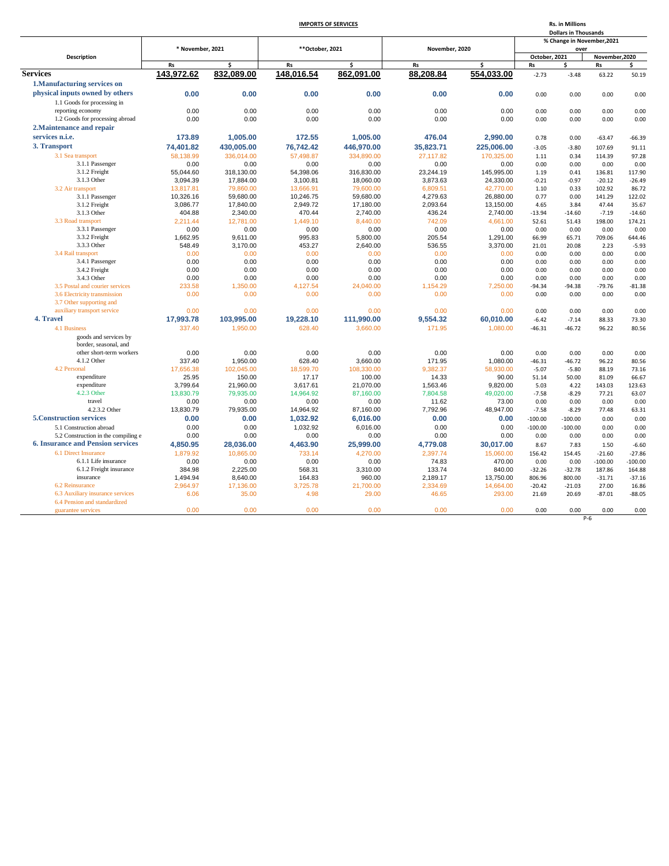# **IMPORTS OF SERVICES**

**Rs. in Millions**

|                                                     |                        |                        |                        |                        |                      |                        |                            | <b>Dollars in Thousands</b> |                   |                     |
|-----------------------------------------------------|------------------------|------------------------|------------------------|------------------------|----------------------|------------------------|----------------------------|-----------------------------|-------------------|---------------------|
|                                                     |                        |                        |                        |                        |                      |                        | % Change in November, 2021 |                             |                   |                     |
|                                                     | * November, 2021       |                        | ** October, 2021       |                        | November, 2020       |                        |                            | over                        |                   |                     |
| Description                                         |                        |                        |                        |                        |                      |                        | October, 2021              |                             | November, 2020    |                     |
|                                                     | Rs                     | \$                     | Rs                     | \$                     | Rs                   | Ś                      | Rs                         | \$                          | Rs                | \$                  |
| <b>Services</b>                                     | 143,972.62             | 832,089.00             | 148,016.54             | 862,091.00             | 88,208.84            | 554,033.00             | $-2.73$                    | $-3.48$                     | 63.22             | 50.19               |
| 1. Manufacturing services on                        |                        |                        |                        |                        |                      |                        |                            |                             |                   |                     |
| physical inputs owned by others                     | 0.00                   | 0.00                   | 0.00                   | 0.00                   | 0.00                 | 0.00                   | 0.00                       | 0.00                        | 0.00              | 0.00                |
| 1.1 Goods for processing in                         |                        |                        |                        |                        |                      |                        |                            |                             |                   |                     |
| reporting economy                                   | 0.00                   | 0.00                   | 0.00                   | 0.00                   | 0.00                 | 0.00                   | 0.00                       | 0.00                        | 0.00              | 0.00                |
| 1.2 Goods for processing abroad                     | 0.00                   | 0.00                   | 0.00                   | 0.00                   | 0.00                 | 0.00                   | 0.00                       | 0.00                        | 0.00              | 0.00                |
| 2. Maintenance and repair                           |                        |                        |                        |                        |                      |                        |                            |                             |                   |                     |
| services n.i.e.                                     | 173.89                 | 1.005.00               | 172.55                 | 1.005.00               | 476.04               | 2.990.00               | 0.78                       | 0.00                        | $-63.47$          | $-66.39$            |
| 3. Transport                                        | 74,401.82              | 430.005.00             | 76,742.42              | 446,970.00             | 35,823.71            | 225,006.00             | $-3.05$                    | $-3.80$                     | 107.69            | 91.11               |
|                                                     |                        |                        |                        |                        |                      |                        |                            |                             |                   |                     |
| 3.1 Sea transport                                   | 58,138.99              | 336,014.00             | 57,498.87              | 334,890.00             | 27,117.82            | 170,325.00             | 1.11                       | 0.34                        | 114.39            | 97.28               |
| 3.1.1 Passenger                                     | 0.00                   | 0.00                   | 0.00                   | 0.00                   | 0.00                 | 0.00                   | 0.00                       | 0.00                        | 0.00              | 0.00                |
| 3.1.2 Freight                                       | 55,044.60              | 318,130.00             | 54,398.06              | 316,830.00             | 23,244.19            | 145,995.00             | 1.19                       | 0.41                        | 136.81            | 117.90              |
| 3.1.3 Other                                         | 3,094.39               | 17,884.00              | 3,100.81               | 18,060.00              | 3,873.63             | 24,330.00              | $-0.21$                    | $-0.97$                     | $-20.12$          | $-26.49$            |
| 3.2 Air transport                                   | 13,817.81<br>10,326.16 | 79,860.00<br>59,680.00 | 13,666.91<br>10,246.75 | 79,600.00<br>59,680.00 | 6,809.51<br>4,279.63 | 42,770.00<br>26,880.00 | 1.10<br>0.77               | 0.33<br>0.00                | 102.92<br>141.29  | 86.72<br>122.02     |
| 3.1.1 Passenger<br>3.1.2 Freight                    | 3,086.77               | 17,840.00              | 2,949.72               | 17,180.00              | 2,093.64             | 13,150.00              | 4.65                       | 3.84                        | 47.44             | 35.67               |
| 3.1.3 Other                                         | 404.88                 | 2,340.00               | 470.44                 | 2,740.00               | 436.24               | 2,740.00               | $-13.94$                   | $-14.60$                    | $-7.19$           | $-14.60$            |
| 3.3 Road transport                                  | 2,211.44               | 12,781.00              | 1,449.10               | 8,440.00               | 742.09               | 4,661.00               | 52.61                      | 51.43                       | 198.00            | 174.21              |
| 3.3.1 Passenger                                     | 0.00                   | 0.00                   | 0.00                   | 0.00                   | 0.00                 | 0.00                   | 0.00                       | 0.00                        | 0.00              | 0.00                |
| 3.3.2 Freight                                       | 1,662.95               | 9,611.00               | 995.83                 | 5,800.00               | 205.54               | 1,291.00               | 66.99                      | 65.71                       | 709.06            | 644.46              |
| 3.3.3 Other                                         | 548.49                 | 3,170.00               | 453.27                 | 2,640.00               | 536.55               | 3,370.00               | 21.01                      | 20.08                       | 2.23              | $-5.93$             |
| 3.4 Rail transport                                  | 0.00                   | 0.00                   | 0.00                   | 0.00                   | 0.00                 | 0.00                   | 0.00                       | 0.00                        | 0.00              | 0.00                |
| 3.4.1 Passenger                                     | 0.00                   | 0.00                   | 0.00                   | 0.00                   | 0.00                 | 0.00                   | 0.00                       | 0.00                        | 0.00              | 0.00                |
| 3.4.2 Freight                                       | 0.00                   | 0.00                   | 0.00                   | 0.00                   | 0.00                 | 0.00                   | 0.00                       | 0.00                        | 0.00              | 0.00                |
| 3.4.3 Other                                         | 0.00                   | 0.00                   | 0.00                   | 0.00                   | 0.00                 | 0.00                   | 0.00                       | 0.00                        | 0.00              | 0.00                |
| 3.5 Postal and courier services                     | 233.58                 | 1,350.00               | 4,127.54               | 24,040.00              | 1,154.29             | 7,250.00               | $-94.34$                   | $-94.38$                    | $-79.76$          | $-81.38$            |
| 3.6 Electricity transmission                        | 0.00                   | 0.00                   | 0.00                   | 0.00                   | 0.00                 | 0.00                   | 0.00                       | 0.00                        | 0.00              | 0.00                |
| 3.7 Other supporting and                            |                        |                        |                        |                        |                      |                        |                            |                             |                   |                     |
| auxiliary transport service                         | 0.00                   | 0.00                   | 0.00                   | 0.00                   | 0.00                 | 0.00                   | 0.00                       | 0.00                        | 0.00              | 0.00                |
| 4. Travel                                           | 17,993.78              | 103,995.00             | 19,228.10              | 111,990.00             | 9,554.32             | 60,010.00              | $-6.42$                    | $-7.14$                     | 88.33             | 73.30               |
| 4.1 Business                                        | 337.40                 | 1,950.00               | 628.40                 | 3,660.00               | 171.95               | 1,080.00               | $-46.31$                   | $-46.72$                    | 96.22             | 80.56               |
| goods and services by                               |                        |                        |                        |                        |                      |                        |                            |                             |                   |                     |
| border, seasonal, and                               |                        |                        |                        |                        |                      |                        |                            |                             |                   |                     |
| other short-term workers                            | 0.00                   | 0.00                   | 0.00                   | 0.00                   | 0.00                 | 0.00                   | 0.00                       | 0.00                        | 0.00              | 0.00                |
| 4.1.2 Other                                         | 337.40                 | 1,950.00               | 628.40                 | 3,660.00               | 171.95               | 1,080.00               | $-46.31$                   | $-46.72$                    | 96.22             | 80.56               |
| 4.2 Personal                                        | 17,656.38              | 102,045.00             | 18,599.70              | 108,330.00             | 9,382.37             | 58,930.00              | $-5.07$                    | $-5.80$                     | 88.19             | 73.16               |
| expenditure                                         | 25.95                  | 150.00                 | 17.17                  | 100.00                 | 14.33                | 90.00                  | 51.14                      | 50.00                       | 81.09             | 66.67               |
| expenditure                                         | 3,799.64               | 21.960.00              | 3,617.61               | 21.070.00              | 1,563.46             | 9.820.00               | 5.03                       | 4.22                        | 143.03            | 123.63              |
| 4.2.3 Other                                         | 13.830.79              | 79.935.00              | 14.964.92              | 87,160.00              | 7.804.58             | 49.020.00              | $-7.58$                    | $-8.29$                     | 77.21             | 63.07               |
| travel                                              | 0.00                   | 0.00                   | 0.00                   | 0.00                   | 11.62                | 73.00                  | 0.00                       | 0.00                        | 0.00              | 0.00                |
| 4.2.3.2 Other                                       | 13,830.79              | 79,935.00              | 14,964.92              | 87,160.00              | 7,792.96             | 48,947.00              | $-7.58$                    | $-8.29$                     | 77.48             | 63.31               |
| <b>5. Construction services</b>                     | 0.00                   | 0.00                   | 1,032.92               | 6,016.00               | 0.00                 | 0.00                   | $-100.00$                  | $-100.00$                   | 0.00              | 0.00                |
| 5.1 Construction abroad                             | 0.00                   | 0.00                   | 1,032.92               | 6,016.00               | 0.00                 | 0.00                   | $-100.00$                  | $-100.00$                   | 0.00              | 0.00                |
| 5.2 Construction in the compiling e                 | 0.00                   | 0.00                   | 0.00                   | 0.00                   | 0.00                 | 0.00                   | 0.00                       | 0.00                        | 0.00              | 0.00                |
| <b>6. Insurance and Pension services</b>            | 4,850.95               | 28,036.00              | 4,463.90               | 25,999.00              | 4,779.08             | 30,017.00              | 8.67                       | 7.83                        | 1.50              | $-6.60$             |
| 6.1 Direct Insurance                                |                        |                        |                        |                        |                      |                        |                            |                             |                   |                     |
|                                                     | 1,879.92               | 10,865.00              | 733.14                 | 4,270.00               | 2,397.74             | 15,060.00              | 156.42                     | 154.45                      | $-21.60$          | $-27.86$            |
| 6.1.1 Life insurance<br>6.1.2 Freight insurance     | 0.00                   | 0.00                   | 0.00                   | 0.00                   | 74.83                | 470.00                 | 0.00                       | 0.00                        | $-100.00$         | $-100.00$<br>164.88 |
| insurance                                           | 384.98                 | 2,225.00               | 568.31                 | 3,310.00               | 133.74               | 840.00                 | $-32.26$                   | $-32.78$                    | 187.86            |                     |
|                                                     | 1,494.94               | 8,640.00               | 164.83                 | 960.00                 | 2,189.17             | 13,750.00              | 806.96                     | 800.00                      | $-31.71$          | $-37.16$            |
| 6.2 Reinsurance<br>6.3 Auxiliary insurance services | 2,964.97<br>6.06       | 17,136.00<br>35.00     | 3,725.78<br>4.98       | 21,700.00<br>29.00     | 2,334.69<br>46.65    | 14,664.00<br>293.00    | $-20.42$<br>21.69          | $-21.03$<br>20.69           | 27.00<br>$-87.01$ | 16.86<br>$-88.05$   |
| 6.4 Pension and standardized                        |                        |                        |                        |                        |                      |                        |                            |                             |                   |                     |
| guarantee services                                  | 0.00                   | 0.00                   | 0.00                   | 0.00                   | 0.00                 | 0.00                   | 0.00                       | 0.00                        | 0.00              | 0.00                |
|                                                     |                        |                        |                        |                        |                      |                        |                            |                             | $P-6$             |                     |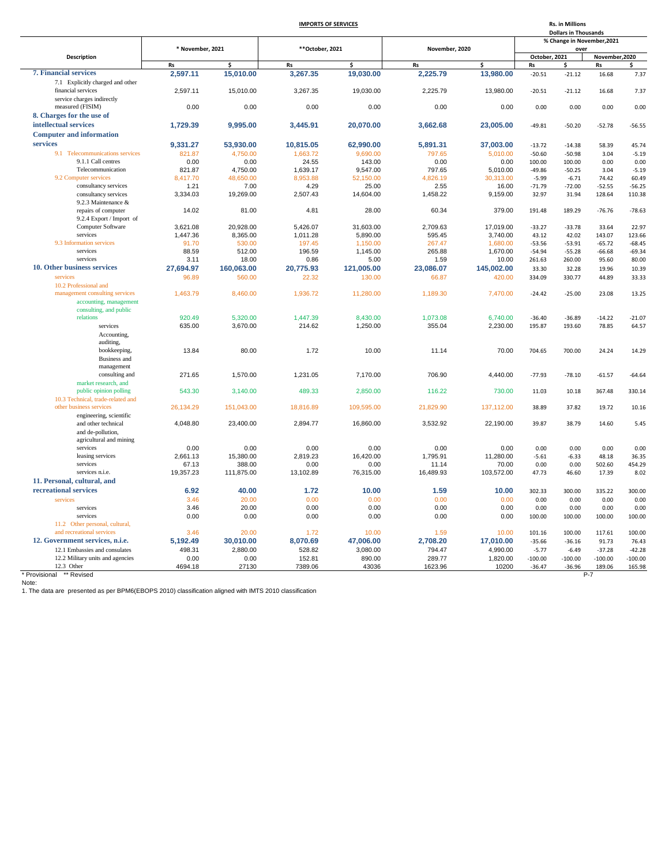### **IMPORTS OF SERVICES**

|                                                                   | <b>IMPORTS OF SERVICES</b> |                  |                  |                    |                  |                      |                                    | Rs. in Millions<br><b>Dollars in Thousands</b> |                       |                     |
|-------------------------------------------------------------------|----------------------------|------------------|------------------|--------------------|------------------|----------------------|------------------------------------|------------------------------------------------|-----------------------|---------------------|
|                                                                   |                            |                  |                  |                    |                  |                      | % Change in November, 2021<br>over |                                                |                       |                     |
| Description                                                       | * November, 2021           |                  | ** October, 2021 |                    | November, 2020   |                      | October, 2021                      |                                                | November, 2020        |                     |
|                                                                   | <b>Rs</b>                  | \$               | <b>Rs</b>        | Ś                  | <b>Rs</b>        | Ś                    | Rs                                 |                                                | Rs                    |                     |
| 7. Financial services                                             | 2,597.11                   | 15,010.00        | 3,267.35         | 19,030.00          | 2,225.79         | 13,980.00            | $-20.51$                           | $-21.12$                                       | 16.68                 | 7.37                |
| 7.1 Explicitly charged and other                                  |                            |                  |                  |                    |                  |                      |                                    |                                                |                       |                     |
| financial services                                                | 2,597.11                   | 15,010.00        | 3,267.35         | 19,030.00          | 2,225.79         | 13,980.00            | $-20.51$                           | $-21.12$                                       | 16.68                 | 7.37                |
| service charges indirectly                                        |                            |                  |                  |                    |                  |                      |                                    |                                                |                       |                     |
| measured (FISIM)                                                  | 0.00                       | 0.00             | 0.00             | 0.00               | 0.00             | 0.00                 | 0.00                               | 0.00                                           | 0.00                  | 0.00                |
| 8. Charges for the use of                                         |                            |                  |                  |                    |                  |                      |                                    |                                                |                       |                     |
| intellectual services                                             | 1,729.39                   | 9,995.00         | 3,445.91         | 20,070.00          | 3,662.68         | 23,005.00            | $-49.81$                           | $-50.20$                                       | $-52.78$              | $-56.55$            |
| <b>Computer and information</b>                                   |                            |                  |                  |                    |                  |                      |                                    |                                                |                       |                     |
| services                                                          | 9,331.27                   | 53,930.00        | 10,815.05        | 62,990.00          | 5.891.31         | 37,003.00            | $-13.72$                           | $-14.38$                                       | 58.39                 | 45.74               |
| 9.1 Telecommunications services                                   | 821.87                     | 4,750.00         | 1,663.72         | 9,690.00           | 797.65           | 5,010.00             | $-50.60$                           | $-50.98$                                       | 3.04                  | $-5.19$             |
| 9.1.1 Call centres                                                | 0.00                       | 0.00             | 24.55            | 143.00             | 0.00             | 0.00                 | 100.00                             | 100.00                                         | 0.00                  | 0.00                |
| Telecommunication                                                 | 821.87                     | 4,750.00         | 1,639.17         | 9,547.00           | 797.65           | 5,010.00             | $-49.86$                           | $-50.25$                                       | 3.04                  | $-5.19$             |
| 9.2 Computer services                                             | 8.417.70                   | 48.650.00        | 8,953.88         | 52.150.00          | 4.826.19         | 30.313.00            | $-5.99$                            | $-6.71$                                        | 74.42                 | 60.49               |
| consultancy services                                              | 1.21                       | 7.00             | 4.29             | 25.00              | 2.55             | 16.00                | $-71.79$                           | $-72.00$                                       | $-52.55$              | $-56.25$            |
| consultancy services                                              | 3,334.03                   | 19,269.00        | 2,507.43         | 14,604.00          | 1,458.22         | 9,159.00             | 32.97                              | 31.94                                          | 128.64                | 110.38              |
| 9.2.3 Maintenance &                                               |                            |                  |                  |                    |                  |                      |                                    |                                                |                       |                     |
| repairs of computer                                               | 14.02                      | 81.00            | 4.81             | 28.00              | 60.34            | 379.00               | 191.48                             | 189.29                                         | $-76.76$              | $-78.63$            |
| 9.2.4 Export / Import of<br>Computer Software                     | 3,621.08                   | 20,928.00        | 5,426.07         | 31,603.00          | 2,709.63         | 17,019.00            | $-33.27$                           | $-33.78$                                       | 33.64                 | 22.97               |
| services                                                          | 1,447.36                   | 8,365.00         | 1,011.28         | 5,890.00           | 595.45           | 3,740.00             | 43.12                              | 42.02                                          | 143.07                | 123.66              |
| 9.3 Information services                                          | 91.70                      | 530.00           | 197.45           | 1,150.00           | 267.47           | 1,680.00             | $-53.56$                           | $-53.91$                                       | $-65.72$              | $-68.45$            |
| services                                                          | 88.59                      | 512.00           | 196.59           | 1,145.00           | 265.88           | 1,670.00             | $-54.94$                           | $-55.28$                                       | $-66.68$              | $-69.34$            |
| services                                                          | 3.11                       | 18.00            | 0.86             | 5.00               | 1.59             | 10.00                | 261.63                             | 260.00                                         | 95.60                 | 80.00               |
| 10. Other business services                                       | 27,694.97                  | 160,063.00       | 20,775.93        | 121,005.00         | 23,086.07        | 145,002.00           | 33.30                              | 32.28                                          | 19.96                 | 10.39               |
| services                                                          | 96.89                      | 560.00           | 22.32            | 130.00             | 66.87            | 420.00               | 334.09                             | 330.77                                         | 44.89                 | 33.33               |
| 10.2 Professional and                                             |                            |                  |                  |                    |                  |                      |                                    |                                                |                       |                     |
| management consulting services                                    | 1,463.79                   | 8,460.00         | 1,936.72         | 11,280.00          | 1,189.30         | 7,470.00             | $-24.42$                           | $-25.00$                                       | 23.08                 | 13.25               |
| accounting, management                                            |                            |                  |                  |                    |                  |                      |                                    |                                                |                       |                     |
| consulting, and public                                            |                            |                  |                  |                    |                  |                      |                                    |                                                |                       |                     |
| relations                                                         | 920.49                     | 5,320.00         | 1,447.39         | 8,430.00           | 1,073.08         | 6,740.00             | $-36.40$                           | $-36.89$                                       | $-14.22$              | $-21.07$            |
| services                                                          | 635.00                     | 3,670.00         | 214.62           | 1,250.00           | 355.04           | 2,230.00             | 195.87                             | 193.60                                         | 78.85                 | 64.57               |
| Accounting,                                                       |                            |                  |                  |                    |                  |                      |                                    |                                                |                       |                     |
| auditing,                                                         |                            |                  |                  |                    |                  |                      |                                    |                                                |                       |                     |
| bookkeeping,                                                      | 13.84                      | 80.00            | 1.72             | 10.00              | 11.14            | 70.00                | 704.65                             | 700.00                                         | 24.24                 | 14.29               |
| <b>Business</b> and<br>management                                 |                            |                  |                  |                    |                  |                      |                                    |                                                |                       |                     |
| consulting and                                                    | 271.65                     | 1,570.00         | 1,231.05         | 7,170.00           | 706.90           | 4,440.00             | $-77.93$                           | $-78.10$                                       | $-61.57$              | $-64.64$            |
| market research, and                                              |                            |                  |                  |                    |                  |                      |                                    |                                                |                       |                     |
| public opinion polling                                            | 543.30                     | 3,140.00         | 489.33           | 2,850.00           | 116.22           | 730.00               | 11.03                              | 10.18                                          | 367.48                | 330.14              |
| 10.3 Technical, trade-related and                                 |                            |                  |                  |                    |                  |                      |                                    |                                                |                       |                     |
| other business services                                           | 26.134.29                  | 151,043.00       | 18.816.89        | 109,595.00         | 21,829.90        | 137,112.00           | 38.89                              | 37.82                                          | 19.72                 | 10.16               |
| engineering, scientific                                           |                            |                  |                  |                    |                  |                      |                                    |                                                |                       |                     |
| and other technical                                               | 4,048.80                   | 23,400.00        | 2,894.77         | 16,860.00          | 3,532.92         | 22,190.00            | 39.87                              | 38.79                                          | 14.60                 | 5.45                |
| and de-pollution,                                                 |                            |                  |                  |                    |                  |                      |                                    |                                                |                       |                     |
| agricultural and mining                                           |                            |                  |                  |                    |                  |                      |                                    |                                                |                       |                     |
| services                                                          | 0.00                       | 0.00             | 0.00             | 0.00               | 0.00             | 0.00                 | 0.00                               | 0.00                                           | 0.00                  | 0.00                |
| leasing services                                                  | 2,661.13                   | 15,380.00        | 2,819.23         | 16,420.00          | 1,795.91         | 11,280.00            | $-5.61$                            | $-6.33$                                        | 48.18                 | 36.35               |
| services                                                          | 67.13                      | 388.00           | 0.00             | 0.00               | 11.14            | 70.00                | 0.00                               | 0.00                                           | 502.60                | 454.29              |
| services n.i.e.                                                   | 19,357.23                  | 111,875.00       | 13,102.89        | 76,315.00          | 16,489.93        | 103,572.00           | 47.73                              | 46.60                                          | 17.39                 | 8.02                |
| 11. Personal, cultural, and                                       |                            |                  |                  |                    |                  |                      |                                    |                                                |                       |                     |
| recreational services                                             | 6.92                       | 40.00            | 1.72             | 10.00              | 1.59             | 10.00                | 302.33                             | 300.00                                         | 335.22                | 300.00              |
| services                                                          | 3.46                       | 20.00            | 0.00             | 0.00               | 0.00             | 0.00                 | 0.00                               | 0.00                                           | 0.00                  | 0.00                |
| services                                                          | 3.46                       | 20.00            | 0.00             | 0.00               | 0.00             | 0.00                 | 0.00                               | 0.00                                           | 0.00                  | 0.00                |
| services                                                          | 0.00                       | 0.00             | 0.00             | 0.00               | 0.00             | 0.00                 | 100.00                             | 100.00                                         | 100.00                | 100.00              |
| 11.2 Other personal, cultural,                                    |                            |                  |                  |                    |                  |                      |                                    |                                                |                       |                     |
| and recreational services<br>12. Government services, n.i.e.      | 3.46                       | 20.00            | 1.72             | 10.00              | 1.59             | 10.00                | 101.16                             | 100.00                                         | 117.61                | 100.00              |
|                                                                   | 5,192.49                   | 30,010.00        | 8,070.69         | 47,006.00          | 2,708.20         | 17,010.00            | $-35.66$                           | $-36.16$                                       | 91.73                 | 76.43               |
| 12.1 Embassies and consulates<br>12.2 Military units and agencies | 498.31<br>0.00             | 2,880.00<br>0.00 | 528.82<br>152.81 | 3,080.00<br>890.00 | 794.47<br>289.77 | 4,990.00<br>1,820.00 | $-5.77$<br>$-100.00$               | $-6.49$<br>$-100.00$                           | $-37.28$<br>$-100.00$ | $-42.28$            |
| 12.3 Other                                                        | 4694.18                    | 27130            | 7389.06          | 43036              | 1623.96          | 10200                | $-36.47$                           | $-36.96$                                       | 189.06                | $-100.00$<br>165.98 |

\* Provisional \*\*\* Revised<br>Note:<br>1. The data are presented as per BPM6(EBOPS 2010) classification aligned with IMTS 2010 classification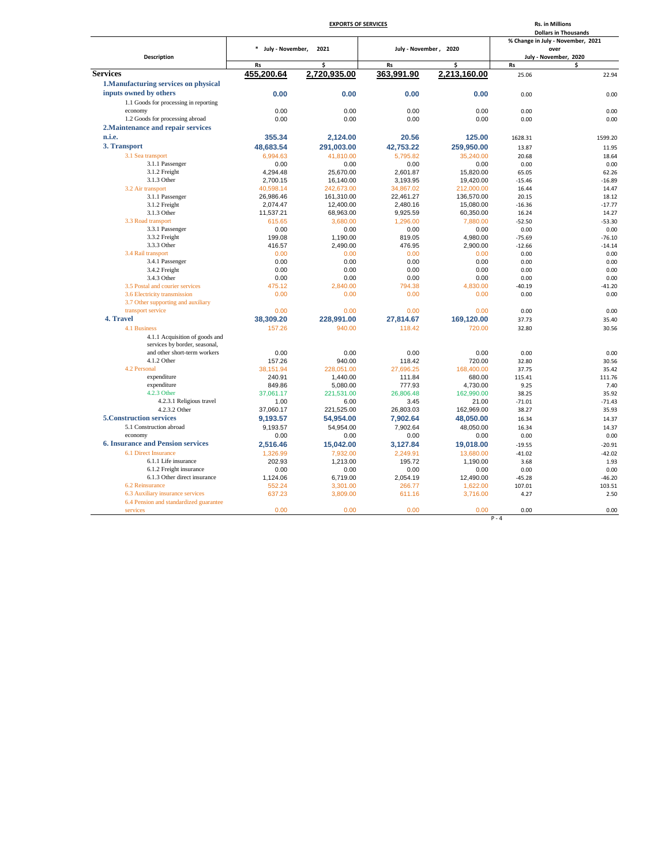|                                          |                    | <b>EXPORTS OF SERVICES</b> | <b>Rs. in Millions</b><br><b>Dollars in Thousands</b> |                                   |          |                               |
|------------------------------------------|--------------------|----------------------------|-------------------------------------------------------|-----------------------------------|----------|-------------------------------|
|                                          |                    |                            |                                                       | % Change in July - November, 2021 |          |                               |
| <b>Description</b>                       | * July - November, | 2021                       | July - November, 2020                                 |                                   |          | over<br>July - November, 2020 |
|                                          | Rs                 | \$                         | <b>Rs</b>                                             | \$                                | Rs       | \$                            |
| <b>Services</b>                          | 455,200.64         | 2,720,935.00               | 363,991.90                                            | 2,213,160.00                      | 25.06    | 22.94                         |
| 1. Manufacturing services on physical    |                    |                            |                                                       |                                   |          |                               |
| inputs owned by others                   | 0.00               | 0.00                       | 0.00                                                  | 0.00                              | 0.00     | 0.00                          |
| 1.1 Goods for processing in reporting    |                    |                            |                                                       |                                   |          |                               |
| economy                                  | 0.00               | 0.00                       | 0.00                                                  | 0.00                              | 0.00     | 0.00                          |
| 1.2 Goods for processing abroad          | 0.00               | 0.00                       | 0.00                                                  | 0.00                              | 0.00     | 0.00                          |
| 2. Maintenance and repair services       |                    |                            |                                                       |                                   |          |                               |
| n.i.e.                                   | 355.34             | 2,124.00                   | 20.56                                                 | 125.00                            | 1628.31  | 1599.20                       |
| 3. Transport                             | 48,683.54          | 291,003.00                 | 42,753.22                                             | 259,950.00                        | 13.87    | 11.95                         |
| 3.1 Sea transport                        | 6.994.63           | 41.810.00                  | 5.795.82                                              | 35,240.00                         | 20.68    | 18.64                         |
| 3.1.1 Passenger                          | 0.00               | 0.00                       | 0.00                                                  | 0.00                              | 0.00     | 0.00                          |
| 3.1.2 Freight                            | 4.294.48           | 25.670.00                  | 2.601.87                                              | 15.820.00                         | 65.05    | 62.26                         |
| 3.1.3 Other                              | 2,700.15           | 16,140.00                  | 3,193.95                                              | 19,420.00                         | $-15.46$ | $-16.89$                      |
| 3.2 Air transport                        | 40,598.14          | 242,673.00                 | 34,867.02                                             | 212,000.00                        | 16.44    | 14.47                         |
| 3.1.1 Passenger                          | 26,986.46          | 161,310.00                 | 22,461.27                                             | 136,570.00                        | 20.15    | 18.12                         |
| 3.1.2 Freight                            | 2,074.47           | 12,400.00                  | 2,480.16                                              | 15,080.00                         | $-16.36$ | $-17.77$                      |
| 3.1.3 Other                              | 11,537.21          | 68,963.00                  | 9,925.59                                              | 60,350.00                         | 16.24    | 14.27                         |
| 3.3 Road transport                       | 615.65             | 3,680.00                   | 1,296.00                                              | 7,880.00                          | $-52.50$ | $-53.30$                      |
| 3.3.1 Passenger                          | 0.00               | 0.00                       | 0.00                                                  | 0.00                              | 0.00     | 0.00                          |
| 3.3.2 Freight                            | 199.08             | 1,190.00                   | 819.05                                                | 4.980.00                          | $-75.69$ | $-76.10$                      |
| 3.3.3 Other                              | 416.57             | 2,490.00                   | 476.95                                                | 2,900.00                          | $-12.66$ | $-14.14$                      |
| 3.4 Rail transport                       | 0.00               | 0.00                       | 0.00                                                  | 0.00                              | 0.00     | 0.00                          |
| 3.4.1 Passenger                          | 0.00               | 0.00                       | 0.00                                                  | 0.00                              | 0.00     | 0.00                          |
| 3.4.2 Freight                            | 0.00               | 0.00                       | 0.00                                                  | 0.00                              | 0.00     | 0.00                          |
| 3.4.3 Other                              | 0.00               | 0.00                       | 0.00                                                  | 0.00                              | 0.00     | 0.00                          |
| 3.5 Postal and courier services          | 475.12             | 2,840.00                   | 794.38                                                | 4,830.00                          | $-40.19$ | $-41.20$                      |
| 3.6 Electricity transmission             | 0.00               | 0.00                       | 0.00                                                  | 0.00                              | 0.00     | 0.00                          |
| 3.7 Other supporting and auxiliary       |                    |                            |                                                       |                                   |          |                               |
| transport service                        | 0.00               | 0.00                       | 0.00                                                  | 0.00                              | 0.00     | 0.00                          |
| 4. Travel                                |                    |                            |                                                       |                                   |          |                               |
|                                          | 38,309.20          | 228,991.00                 | 27,814.67                                             | 169,120.00                        | 37.73    | 35.40                         |
| 4.1 Business                             | 157.26             | 940.00                     | 118.42                                                | 720.00                            | 32.80    | 30.56                         |
| 4.1.1 Acquisition of goods and           |                    |                            |                                                       |                                   |          |                               |
| services by border, seasonal,            |                    |                            |                                                       |                                   |          |                               |
| and other short-term workers             | 0.00               | 0.00                       | 0.00                                                  | 0.00                              | 0.00     | 0.00                          |
| 4.1.2 Other                              | 157.26             | 940.00                     | 118.42                                                | 720.00                            | 32.80    | 30.56                         |
| 4.2 Personal                             | 38,151.94          | 228,051.00                 | 27,696.25                                             | 168,400.00                        | 37.75    | 35.42                         |
| expenditure                              | 240.91             | 1,440.00                   | 111.84                                                | 680.00                            | 115.41   | 111.76                        |
| expenditure                              | 849.86             | 5,080.00                   | 777.93                                                | 4,730.00                          | 9.25     | 7.40                          |
| 4.2.3 Other                              | 37.061.17          | 221,531.00                 | 26,806.48                                             | 162,990.00                        | 38.25    | 35.92                         |
| 4.2.3.1 Religious travel                 | 1.00               | 6.00                       | 3.45                                                  | 21.00                             | $-71.01$ | $-71.43$                      |
| 4.2.3.2 Other                            | 37,060.17          | 221,525.00                 | 26,803.03                                             | 162,969.00                        | 38.27    | 35.93                         |
| <b>5. Construction services</b>          | 9.193.57           | 54.954.00                  | 7,902.64                                              | 48.050.00                         | 16.34    | 14.37                         |
| 5.1 Construction abroad                  | 9,193.57           | 54,954.00                  | 7,902.64                                              | 48,050.00                         | 16.34    | 14.37                         |
| economy                                  | 0.00               | 0.00                       | 0.00                                                  | 0.00                              | 0.00     | 0.00                          |
| <b>6. Insurance and Pension services</b> | 2,516.46           | 15,042.00                  | 3,127.84                                              | 19,018.00                         | $-19.55$ | $-20.91$                      |
| 6.1 Direct Insurance                     | 1,326.99           | 7.932.00                   | 2,249.91                                              | 13,680.00                         | $-41.02$ | $-42.02$                      |
| 6.1.1 Life insurance                     | 202.93             | 1,213.00                   | 195.72                                                | 1,190.00                          | 3.68     | 1.93                          |
| 6.1.2 Freight insurance                  | 0.00               | 0.00                       | 0.00                                                  | 0.00                              | 0.00     | 0.00                          |
| 6.1.3 Other direct insurance             | 1,124.06           | 6,719.00                   | 2,054.19                                              | 12,490.00                         | $-45.28$ | $-46.20$                      |
| 6.2 Reinsurance                          | 552.24             | 3,301.00                   | 266.77                                                | 1,622.00                          | 107.01   | 103.51                        |
| 6.3 Auxiliary insurance services         | 637.23             | 3.809.00                   | 611.16                                                | 3,716.00                          | 4.27     | 2.50                          |
| 6.4 Pension and standardized guarantee   |                    |                            |                                                       |                                   |          |                               |
| services                                 | 0.00               | 0.00                       | 0.00                                                  | 0.00                              | 0.00     | 0.00                          |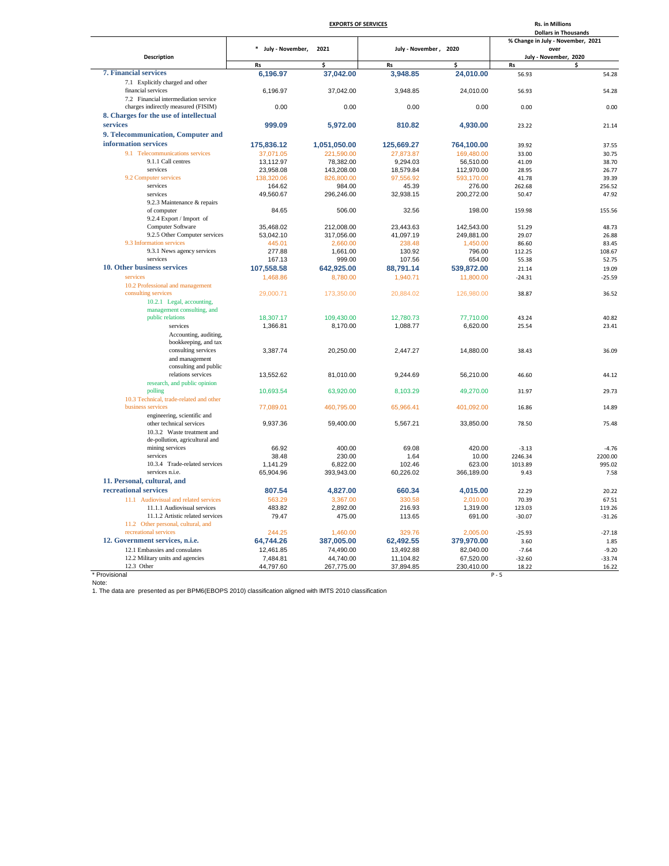|                                                        |                    | <b>EXPORTS OF SERVICES</b> |                       | <b>Rs. in Millions</b><br><b>Dollars in Thousands</b> |                                   |          |
|--------------------------------------------------------|--------------------|----------------------------|-----------------------|-------------------------------------------------------|-----------------------------------|----------|
|                                                        |                    |                            |                       |                                                       | % Change in July - November, 2021 |          |
|                                                        | * July - November, | 2021                       | July - November, 2020 |                                                       | over                              |          |
| <b>Description</b>                                     |                    |                            |                       |                                                       | July - November, 2020             |          |
| <b>7. Financial services</b>                           | <b>Rs</b>          | Ś                          | <b>Rs</b>             | \$                                                    | <b>Rs</b>                         | \$       |
|                                                        | 6,196.97           | 37,042.00                  | 3,948.85              | 24,010.00                                             | 56.93                             | 54.28    |
| 7.1 Explicitly charged and other<br>financial services | 6,196.97           | 37,042.00                  | 3,948.85              | 24,010.00                                             | 56.93                             | 54.28    |
| 7.2 Financial intermediation service                   |                    |                            |                       |                                                       |                                   |          |
| charges indirectly measured (FISIM)                    | 0.00               | 0.00                       | 0.00                  | 0.00                                                  | 0.00                              | 0.00     |
| 8. Charges for the use of intellectual                 |                    |                            |                       |                                                       |                                   |          |
| services                                               | 999.09             | 5,972.00                   | 810.82                | 4,930.00                                              | 23.22                             | 21.14    |
| 9. Telecommunication, Computer and                     |                    |                            |                       |                                                       |                                   |          |
| information services                                   |                    |                            |                       |                                                       |                                   |          |
|                                                        | 175,836.12         | 1,051,050.00               | 125,669.27            | 764,100.00                                            | 39.92                             | 37.55    |
| 9.1 Telecommunications services                        | 37,071.05          | 221,590.00                 | 27,873.87             | 169,480.00                                            | 33.00                             | 30.75    |
| 9.1.1 Call centres                                     | 13,112.97          | 78,382.00                  | 9,294.03              | 56,510.00                                             | 41.09                             | 38.70    |
| services                                               | 23,958.08          | 143,208.00                 | 18,579.84             | 112,970.00                                            | 28.95                             | 26.77    |
| 9.2 Computer services<br>services                      | 138,320.06         | 826,800.00                 | 97,556.92             | 593,170.00                                            | 41.78                             | 39.39    |
|                                                        | 164.62             | 984.00                     | 45.39                 | 276.00                                                | 262.68                            | 256.52   |
| services<br>9.2.3 Maintenance & repairs                | 49,560.67          | 296,246.00                 | 32,938.15             | 200,272.00                                            | 50.47                             | 47.92    |
| of computer                                            | 84.65              | 506.00                     | 32.56                 | 198.00                                                | 159.98                            |          |
| 9.2.4 Export / Import of                               |                    |                            |                       |                                                       |                                   | 155.56   |
| Computer Software                                      | 35,468.02          | 212,008.00                 | 23,443.63             | 142,543.00                                            | 51.29                             | 48.73    |
| 9.2.5 Other Computer services                          | 53,042.10          | 317,056.00                 | 41,097.19             | 249,881.00                                            | 29.07                             | 26.88    |
| 9.3 Information services                               | 445.01             | 2,660.00                   | 238.48                | 1,450.00                                              | 86.60                             | 83.45    |
| 9.3.1 News agency services                             | 277.88             | 1,661.00                   | 130.92                | 796.00                                                | 112.25                            | 108.67   |
| services                                               | 167.13             | 999.00                     | 107.56                | 654.00                                                | 55.38                             | 52.75    |
| 10. Other business services                            | 107,558.58         | 642,925.00                 | 88,791.14             | 539,872.00                                            | 21.14                             | 19.09    |
| services                                               | 1,468.86           | 8,780.00                   | 1,940.71              | 11,800.00                                             | $-24.31$                          | $-25.59$ |
| 10.2 Professional and management                       |                    |                            |                       |                                                       |                                   |          |
| consulting services                                    | 29,000.71          | 173,350.00                 | 20,884.02             | 126,980.00                                            | 38.87                             | 36.52    |
| 10.2.1 Legal, accounting,                              |                    |                            |                       |                                                       |                                   |          |
| management consulting, and                             |                    |                            |                       |                                                       |                                   |          |
| public relations                                       | 18,307.17          | 109,430.00                 | 12,780.73             | 77,710.00                                             | 43.24                             | 40.82    |
| services                                               | 1,366.81           | 8,170.00                   | 1,088.77              | 6,620.00                                              | 25.54                             | 23.41    |
| Accounting, auditing,                                  |                    |                            |                       |                                                       |                                   |          |
| bookkeeping, and tax                                   |                    |                            |                       |                                                       |                                   |          |
| consulting services                                    | 3,387.74           | 20,250.00                  | 2,447.27              | 14,880.00                                             | 38.43                             | 36.09    |
| and management                                         |                    |                            |                       |                                                       |                                   |          |
| consulting and public                                  |                    |                            |                       |                                                       |                                   |          |
| relations services                                     | 13,552.62          | 81,010.00                  | 9,244.69              | 56,210.00                                             | 46.60                             | 44.12    |
| research, and public opinion                           |                    |                            |                       |                                                       |                                   |          |
| polling                                                | 10,693.54          | 63,920.00                  | 8,103.29              | 49,270.00                                             | 31.97                             | 29.73    |
| 10.3 Technical, trade-related and other                |                    |                            |                       |                                                       |                                   |          |
| business services                                      | 77,089.01          | 460,795.00                 | 65,966.41             | 401,092.00                                            | 16.86                             | 14.89    |
| engineering, scientific and                            |                    |                            |                       |                                                       |                                   |          |
| other technical services                               | 9,937.36           | 59,400.00                  | 5,567.21              | 33,850.00                                             | 78.50                             | 75.48    |
| 10.3.2 Waste treatment and                             |                    |                            |                       |                                                       |                                   |          |
| de-pollution, agricultural and                         |                    |                            |                       |                                                       |                                   |          |
| mining services                                        | 66.92              | 400.00                     | 69.08                 | 420.00                                                | $-3.13$                           | $-4.76$  |
| services                                               | 38.48              | 230.00                     | 1.64                  | 10.00                                                 | 2246.34                           | 2200.00  |
| 10.3.4 Trade-related services                          | 1,141.29           | 6,822.00                   | 102.46                | 623.00                                                | 1013.89                           | 995.02   |
| services n.i.e.                                        | 65,904.96          | 393,943.00                 | 60,226.02             | 366,189.00                                            | 9.43                              | 7.58     |
| 11. Personal, cultural, and                            |                    |                            |                       |                                                       |                                   |          |
| recreational services                                  | 807.54             | 4,827.00                   | 660.34                | 4,015.00                                              | 22.29                             | 20.22    |
| 11.1 Audiovisual and related services                  | 563.29             | 3,367.00                   | 330.58                | 2,010.00                                              | 70.39                             | 67.51    |
| 11.1.1 Audiovisual services                            | 483.82             | 2,892.00                   | 216.93                | 1,319.00                                              | 123.03                            | 119.26   |
| 11.1.2 Artistic related services                       | 79.47              | 475.00                     | 113.65                | 691.00                                                | $-30.07$                          | $-31.26$ |
| 11.2 Other personal, cultural, and                     |                    |                            |                       |                                                       |                                   |          |
| recreational services                                  | 244.25             | 1,460.00                   | 329.76                | 2,005.00                                              | $-25.93$                          | $-27.18$ |
| 12. Government services, n.i.e.                        | 64,744.26          | 387,005.00                 | 62,492.55             | 379,970.00                                            | 3.60                              | 1.85     |
| 12.1 Embassies and consulates                          | 12,461.85          | 74,490.00                  | 13,492.88             | 82,040.00                                             | $-7.64$                           | $-9.20$  |
| 12.2 Military units and agencies                       | 7,484.81           | 44,740.00                  | 11,104.82             | 67,520.00                                             | $-32.60$                          | $-33.74$ |
| 12.3 Other                                             | 44,797.60          | 267,775.00                 | 37,894.85             | 230,410.00                                            | 18.22                             | 16.22    |

\* Provisional<br>Note:<br>1. The data are presented as per BPM6(EBOPS 2010) classification aligned with IMTS 2010 classification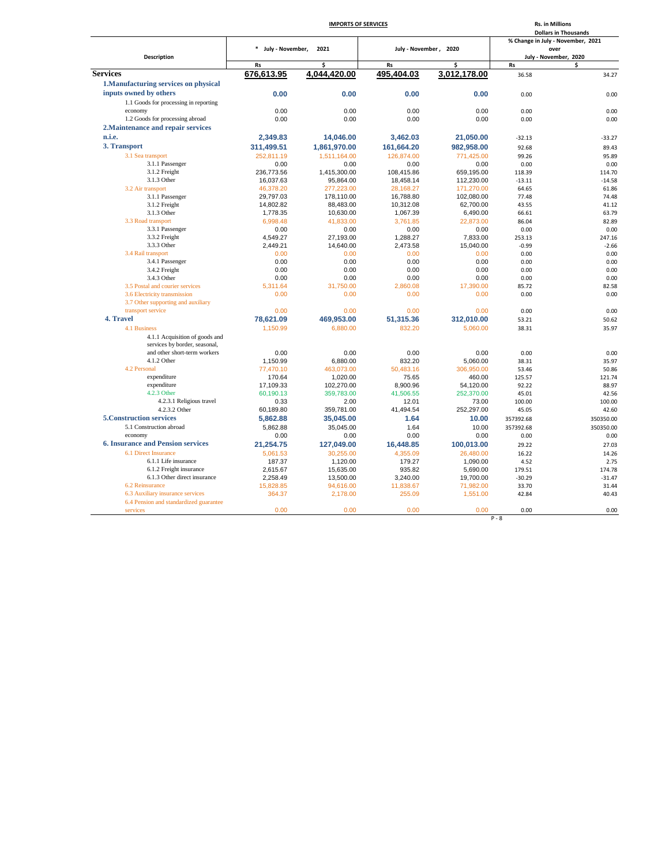| <b>Description</b>                                            | $\ast$<br>July - November,<br><b>Rs</b><br>676,613.95 | 2021<br>Ś                | July - November, 2020  |                          |                       | % Change in July - November, 2021<br>over |  |
|---------------------------------------------------------------|-------------------------------------------------------|--------------------------|------------------------|--------------------------|-----------------------|-------------------------------------------|--|
|                                                               |                                                       |                          |                        |                          |                       |                                           |  |
|                                                               |                                                       |                          |                        |                          | July - November, 2020 |                                           |  |
|                                                               |                                                       |                          |                        |                          |                       |                                           |  |
|                                                               |                                                       |                          | Rs                     | Ś                        | <b>Rs</b>             | \$                                        |  |
| <b>Services</b>                                               |                                                       | 4,044,420.00             | 495,404.03             | 3,012,178.00             | 36.58                 | 34.27                                     |  |
| 1. Manufacturing services on physical                         |                                                       |                          |                        |                          |                       |                                           |  |
| inputs owned by others                                        | 0.00                                                  | 0.00                     | 0.00                   | 0.00                     | 0.00                  | 0.00                                      |  |
| 1.1 Goods for processing in reporting                         |                                                       |                          |                        |                          |                       |                                           |  |
| economy                                                       | 0.00                                                  | 0.00                     | 0.00                   | 0.00                     | 0.00                  | 0.00                                      |  |
| 1.2 Goods for processing abroad                               | 0.00                                                  | 0.00                     | 0.00                   | 0.00                     | 0.00                  | 0.00                                      |  |
| 2. Maintenance and repair services                            |                                                       |                          |                        |                          |                       |                                           |  |
| n.i.e.                                                        | 2.349.83                                              | 14,046.00                | 3,462.03               | 21,050.00                | $-32.13$              | $-33.27$                                  |  |
| 3. Transport                                                  | 311,499.51                                            | 1,861,970.00             | 161,664.20             | 982,958.00               | 92.68                 | 89.43                                     |  |
| 3.1 Sea transport                                             | 252,811.19                                            | 1,511,164.00             | 126,874.00             | 771,425.00               | 99.26                 | 95.89                                     |  |
| 3.1.1 Passenger                                               | 0.00                                                  | 0.00                     | 0.00                   | 0.00                     | 0.00                  | 0.00                                      |  |
| 3.1.2 Freight                                                 | 236,773.56                                            | 1,415,300.00             | 108,415.86             | 659,195.00               | 118.39                | 114.70                                    |  |
| 3.1.3 Other                                                   | 16,037.63                                             | 95,864.00                | 18,458.14              | 112,230.00               |                       | $-14.58$                                  |  |
| 3.2 Air transport                                             |                                                       |                          |                        |                          | $-13.11$              | 61.86                                     |  |
| 3.1.1 Passenger                                               | 46,378.20<br>29,797.03                                | 277,223.00<br>178,110.00 | 28,168.27<br>16,788.80 | 171,270.00<br>102,080.00 | 64.65<br>77.48        | 74.48                                     |  |
| 3.1.2 Freight                                                 | 14,802.82                                             | 88,483.00                | 10,312.08              | 62,700.00                | 43.55                 | 41.12                                     |  |
| 3.1.3 Other                                                   |                                                       |                          |                        |                          | 66.61                 | 63.79                                     |  |
| 3.3 Road transport                                            | 1,778.35<br>6,998.48                                  | 10,630.00<br>41,833.00   | 1,067.39<br>3,761.85   | 6,490.00<br>22,873.00    | 86.04                 | 82.89                                     |  |
| 3.3.1 Passenger                                               | 0.00                                                  | 0.00                     | 0.00                   | 0.00                     | 0.00                  | 0.00                                      |  |
| 3.3.2 Freight                                                 | 4,549.27                                              | 27,193.00                | 1,288.27               | 7,833.00                 | 253.13                | 247.16                                    |  |
| 3.3.3 Other                                                   | 2,449.21                                              | 14,640.00                | 2,473.58               | 15,040.00                | $-0.99$               |                                           |  |
| 3.4 Rail transport                                            | 0.00                                                  | 0.00                     | 0.00                   | 0.00                     | 0.00                  | $-2.66$<br>0.00                           |  |
| 3.4.1 Passenger                                               | 0.00                                                  | 0.00                     | 0.00                   | 0.00                     | 0.00                  | 0.00                                      |  |
| 3.4.2 Freight                                                 | 0.00                                                  | 0.00                     | 0.00                   | 0.00                     | 0.00                  | 0.00                                      |  |
| 3.4.3 Other                                                   | 0.00                                                  | 0.00                     | 0.00                   | 0.00                     | 0.00                  | 0.00                                      |  |
| 3.5 Postal and courier services                               | 5,311.64                                              | 31,750.00                | 2,860.08               | 17,390.00                | 85.72                 | 82.58                                     |  |
| 3.6 Electricity transmission                                  | 0.00                                                  | 0.00                     | 0.00                   | 0.00                     | 0.00                  | 0.00                                      |  |
| 3.7 Other supporting and auxiliary                            |                                                       |                          |                        |                          |                       |                                           |  |
| transport service                                             | 0.00                                                  | 0.00                     | 0.00                   | 0.00                     | 0.00                  | 0.00                                      |  |
| 4. Travel                                                     | 78,621.09                                             | 469,953.00               | 51,315.36              | 312,010.00               | 53.21                 | 50.62                                     |  |
| 4.1 Business                                                  |                                                       |                          |                        |                          |                       |                                           |  |
|                                                               | 1,150.99                                              | 6,880.00                 | 832.20                 | 5,060.00                 | 38.31                 | 35.97                                     |  |
| 4.1.1 Acquisition of goods and                                |                                                       |                          |                        |                          |                       |                                           |  |
| services by border, seasonal,<br>and other short-term workers | 0.00                                                  | 0.00                     | 0.00                   | 0.00                     | 0.00                  | 0.00                                      |  |
| 4.1.2 Other                                                   | 1,150.99                                              |                          | 832.20                 | 5,060.00                 |                       |                                           |  |
| 4.2 Personal                                                  | 77,470.10                                             | 6,880.00<br>463,073.00   | 50,483.16              | 306,950.00               | 38.31                 | 35.97                                     |  |
| expenditure                                                   | 170.64                                                |                          | 75.65                  | 460.00                   | 53.46<br>125.57       | 50.86<br>121.74                           |  |
| expenditure                                                   | 17,109.33                                             | 1,020.00<br>102,270.00   | 8.900.96               | 54.120.00                | 92.22                 | 88.97                                     |  |
| 4.2.3 Other                                                   | 60,190.13                                             | 359,783.00               | 41,506.55              | 252,370.00               | 45.01                 | 42.56                                     |  |
| 4.2.3.1 Religious travel                                      | 0.33                                                  | 2.00                     | 12.01                  | 73.00                    | 100.00                | 100.00                                    |  |
| 4.2.3.2 Other                                                 | 60,189.80                                             | 359,781.00               | 41,494.54              | 252,297.00               | 45.05                 | 42.60                                     |  |
| <b>5. Construction services</b>                               | 5.862.88                                              | 35.045.00                | 1.64                   | 10.00                    |                       |                                           |  |
|                                                               |                                                       |                          |                        |                          | 357392.68             | 350350.00                                 |  |
| 5.1 Construction abroad                                       | 5,862.88                                              | 35,045.00                | 1.64                   | 10.00                    | 357392.68             | 350350.00                                 |  |
| economy                                                       | 0.00                                                  | 0.00                     | 0.00                   | 0.00                     | 0.00                  | 0.00                                      |  |
| <b>6. Insurance and Pension services</b>                      | 21,254.75                                             | 127,049.00               | 16,448.85              | 100,013.00               | 29.22                 | 27.03                                     |  |
| 6.1 Direct Insurance                                          | 5,061.53                                              | 30,255.00                | 4,355.09               | 26,480.00                | 16.22                 | 14.26                                     |  |
| 6.1.1 Life insurance                                          | 187.37                                                | 1,120.00                 | 179.27                 | 1,090.00                 | 4.52                  | 2.75                                      |  |
| 6.1.2 Freight insurance                                       | 2,615.67                                              | 15,635.00                | 935.82                 | 5,690.00                 | 179.51                | 174.78                                    |  |
| 6.1.3 Other direct insurance                                  | 2,258.49                                              | 13,500.00                | 3,240.00               | 19,700.00                | $-30.29$              | $-31.47$                                  |  |
| 6.2 Reinsurance                                               | 15.828.85                                             | 94.616.00                | 11.838.67              | 71.982.00                | 33.70                 | 31.44                                     |  |
| 6.3 Auxiliary insurance services                              | 364.37                                                | 2,178.00                 | 255.09                 | 1,551.00                 | 42.84                 | 40.43                                     |  |
| 6.4 Pension and standardized guarantee                        |                                                       |                          |                        |                          |                       |                                           |  |
| services                                                      | 0.00                                                  | 0.00                     | 0.00                   | 0.00                     | 0.00<br>$P - 8$       | 0.00                                      |  |